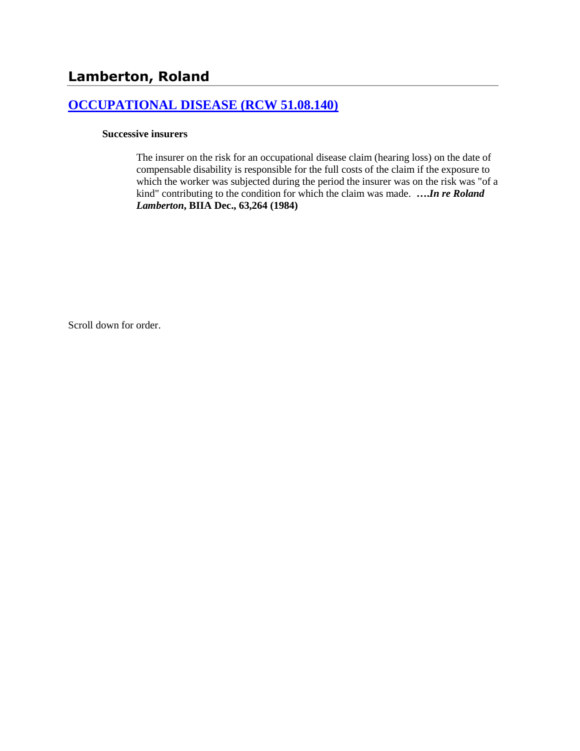### **[OCCUPATIONAL DISEASE \(RCW 51.08.140\)](http://www.biia.wa.gov/SDSubjectIndex.html#OCCUPATIONAL_DISEASE)**

#### **Successive insurers**

The insurer on the risk for an occupational disease claim (hearing loss) on the date of compensable disability is responsible for the full costs of the claim if the exposure to which the worker was subjected during the period the insurer was on the risk was "of a kind" contributing to the condition for which the claim was made. **….***In re Roland Lamberton***, BIIA Dec., 63,264 (1984)**

Scroll down for order.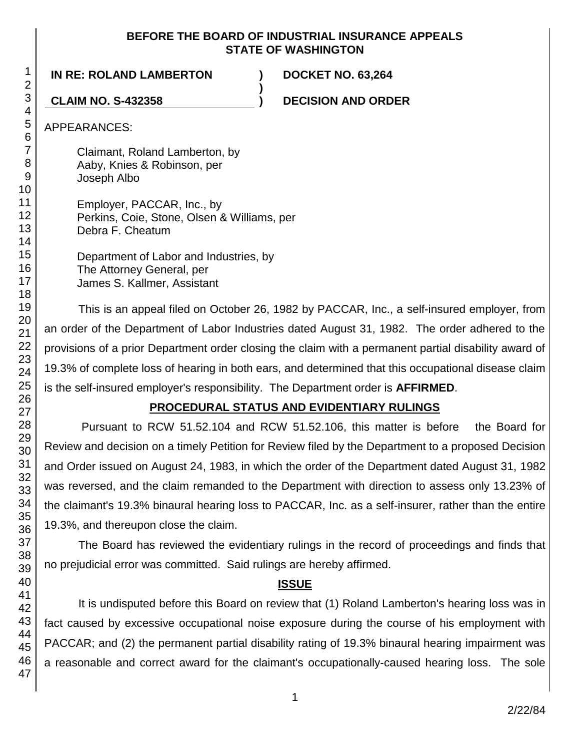#### **BEFORE THE BOARD OF INDUSTRIAL INSURANCE APPEALS STATE OF WASHINGTON**

**)**

**IN RE: ROLAND LAMBERTON ) DOCKET NO. 63,264**

**CLAIM NO. S-432358 ) DECISION AND ORDER**

APPEARANCES:

Claimant, Roland Lamberton, by Aaby, Knies & Robinson, per Joseph Albo

Employer, PACCAR, Inc., by Perkins, Coie, Stone, Olsen & Williams, per Debra F. Cheatum

Department of Labor and Industries, by The Attorney General, per James S. Kallmer, Assistant

This is an appeal filed on October 26, 1982 by PACCAR, Inc., a self-insured employer, from an order of the Department of Labor Industries dated August 31, 1982. The order adhered to the provisions of a prior Department order closing the claim with a permanent partial disability award of 19.3% of complete loss of hearing in both ears, and determined that this occupational disease claim is the self-insured employer's responsibility. The Department order is **AFFIRMED**.

# **PROCEDURAL STATUS AND EVIDENTIARY RULINGS**

Pursuant to RCW 51.52.104 and RCW 51.52.106, this matter is before the Board for Review and decision on a timely Petition for Review filed by the Department to a proposed Decision and Order issued on August 24, 1983, in which the order of the Department dated August 31, 1982 was reversed, and the claim remanded to the Department with direction to assess only 13.23% of the claimant's 19.3% binaural hearing loss to PACCAR, Inc. as a self-insurer, rather than the entire 19.3%, and thereupon close the claim.

The Board has reviewed the evidentiary rulings in the record of proceedings and finds that no prejudicial error was committed. Said rulings are hereby affirmed.

# **ISSUE**

It is undisputed before this Board on review that (1) Roland Lamberton's hearing loss was in fact caused by excessive occupational noise exposure during the course of his employment with PACCAR; and (2) the permanent partial disability rating of 19.3% binaural hearing impairment was a reasonable and correct award for the claimant's occupationally-caused hearing loss. The sole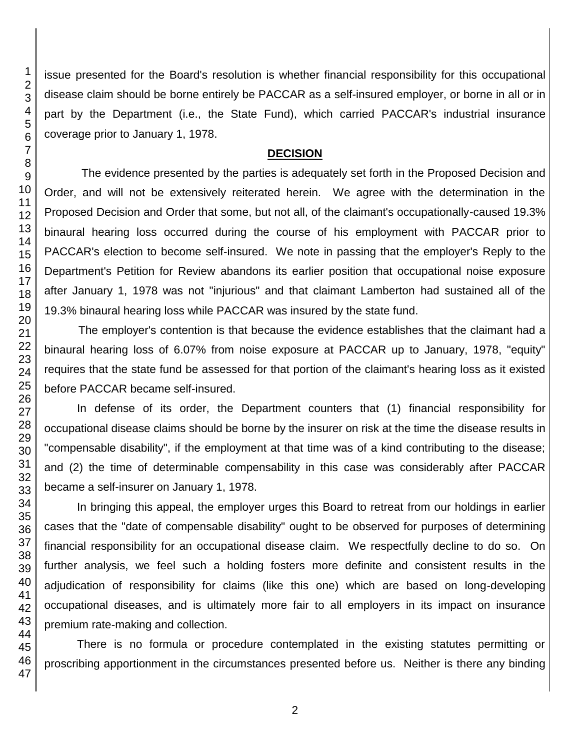issue presented for the Board's resolution is whether financial responsibility for this occupational disease claim should be borne entirely be PACCAR as a self-insured employer, or borne in all or in part by the Department (i.e., the State Fund), which carried PACCAR's industrial insurance coverage prior to January 1, 1978.

#### **DECISION**

The evidence presented by the parties is adequately set forth in the Proposed Decision and Order, and will not be extensively reiterated herein. We agree with the determination in the Proposed Decision and Order that some, but not all, of the claimant's occupationally-caused 19.3% binaural hearing loss occurred during the course of his employment with PACCAR prior to PACCAR's election to become self-insured. We note in passing that the employer's Reply to the Department's Petition for Review abandons its earlier position that occupational noise exposure after January 1, 1978 was not "injurious" and that claimant Lamberton had sustained all of the 19.3% binaural hearing loss while PACCAR was insured by the state fund.

The employer's contention is that because the evidence establishes that the claimant had a binaural hearing loss of 6.07% from noise exposure at PACCAR up to January, 1978, "equity" requires that the state fund be assessed for that portion of the claimant's hearing loss as it existed before PACCAR became self-insured.

In defense of its order, the Department counters that (1) financial responsibility for occupational disease claims should be borne by the insurer on risk at the time the disease results in "compensable disability", if the employment at that time was of a kind contributing to the disease; and (2) the time of determinable compensability in this case was considerably after PACCAR became a self-insurer on January 1, 1978.

In bringing this appeal, the employer urges this Board to retreat from our holdings in earlier cases that the "date of compensable disability" ought to be observed for purposes of determining financial responsibility for an occupational disease claim. We respectfully decline to do so. On further analysis, we feel such a holding fosters more definite and consistent results in the adjudication of responsibility for claims (like this one) which are based on long-developing occupational diseases, and is ultimately more fair to all employers in its impact on insurance premium rate-making and collection.

There is no formula or procedure contemplated in the existing statutes permitting or proscribing apportionment in the circumstances presented before us. Neither is there any binding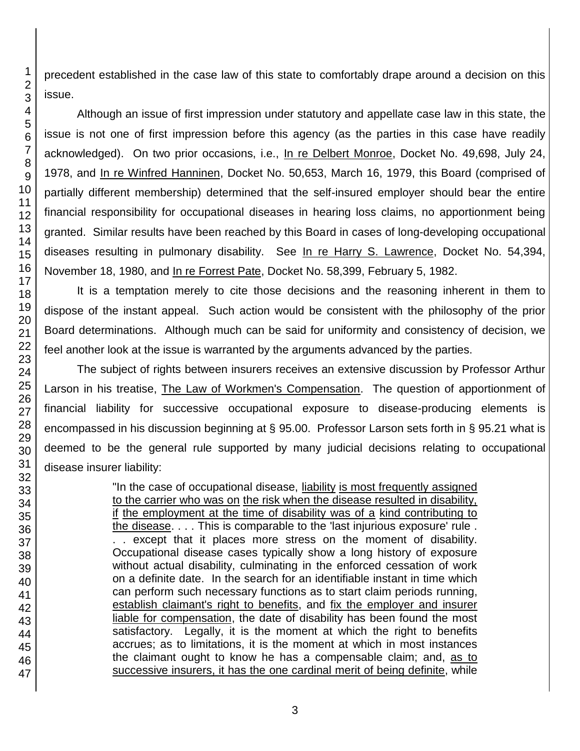46 47

precedent established in the case law of this state to comfortably drape around a decision on this issue.

Although an issue of first impression under statutory and appellate case law in this state, the issue is not one of first impression before this agency (as the parties in this case have readily acknowledged). On two prior occasions, i.e., In re Delbert Monroe, Docket No. 49,698, July 24, 1978, and In re Winfred Hanninen, Docket No. 50,653, March 16, 1979, this Board (comprised of partially different membership) determined that the self-insured employer should bear the entire financial responsibility for occupational diseases in hearing loss claims, no apportionment being granted. Similar results have been reached by this Board in cases of long-developing occupational diseases resulting in pulmonary disability. See In re Harry S. Lawrence, Docket No. 54,394, November 18, 1980, and In re Forrest Pate, Docket No. 58,399, February 5, 1982.

It is a temptation merely to cite those decisions and the reasoning inherent in them to dispose of the instant appeal. Such action would be consistent with the philosophy of the prior Board determinations. Although much can be said for uniformity and consistency of decision, we feel another look at the issue is warranted by the arguments advanced by the parties.

The subject of rights between insurers receives an extensive discussion by Professor Arthur Larson in his treatise, The Law of Workmen's Compensation. The question of apportionment of financial liability for successive occupational exposure to disease-producing elements is encompassed in his discussion beginning at § 95.00. Professor Larson sets forth in § 95.21 what is deemed to be the general rule supported by many judicial decisions relating to occupational disease insurer liability:

> "In the case of occupational disease, liability is most frequently assigned to the carrier who was on the risk when the disease resulted in disability, if the employment at the time of disability was of a kind contributing to the disease. . . . This is comparable to the 'last injurious exposure' rule . . . except that it places more stress on the moment of disability. Occupational disease cases typically show a long history of exposure without actual disability, culminating in the enforced cessation of work on a definite date. In the search for an identifiable instant in time which can perform such necessary functions as to start claim periods running, establish claimant's right to benefits, and fix the employer and insurer liable for compensation, the date of disability has been found the most satisfactory. Legally, it is the moment at which the right to benefits accrues; as to limitations, it is the moment at which in most instances the claimant ought to know he has a compensable claim; and, as to successive insurers, it has the one cardinal merit of being definite, while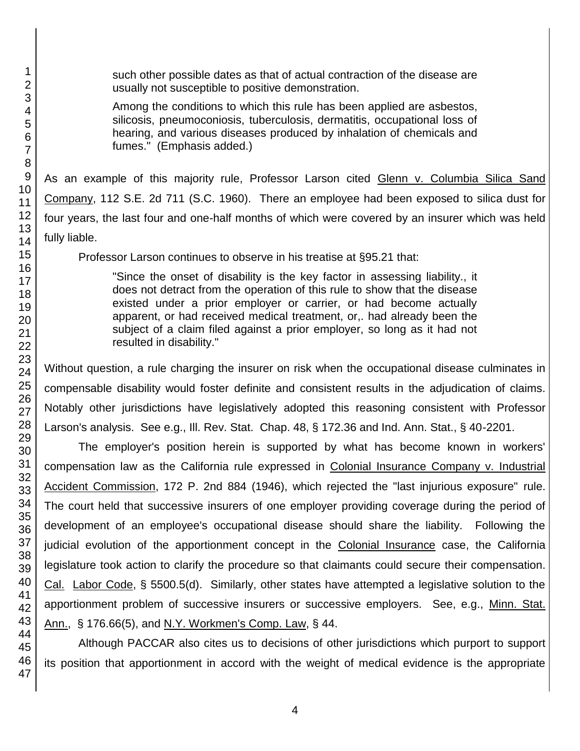such other possible dates as that of actual contraction of the disease are usually not susceptible to positive demonstration.

Among the conditions to which this rule has been applied are asbestos, silicosis, pneumoconiosis, tuberculosis, dermatitis, occupational loss of hearing, and various diseases produced by inhalation of chemicals and fumes." (Emphasis added.)

As an example of this majority rule, Professor Larson cited Glenn v. Columbia Silica Sand Company, 112 S.E. 2d 711 (S.C. 1960). There an employee had been exposed to silica dust for four years, the last four and one-half months of which were covered by an insurer which was held fully liable.

Professor Larson continues to observe in his treatise at §95.21 that:

"Since the onset of disability is the key factor in assessing liability., it does not detract from the operation of this rule to show that the disease existed under a prior employer or carrier, or had become actually apparent, or had received medical treatment, or,. had already been the subject of a claim filed against a prior employer, so long as it had not resulted in disability."

Without question, a rule charging the insurer on risk when the occupational disease culminates in compensable disability would foster definite and consistent results in the adjudication of claims. Notably other jurisdictions have legislatively adopted this reasoning consistent with Professor Larson's analysis. See e.g., Ill. Rev. Stat. Chap. 48, § 172.36 and Ind. Ann. Stat., § 40-2201.

The employer's position herein is supported by what has become known in workers' compensation law as the California rule expressed in Colonial Insurance Company v. Industrial Accident Commission, 172 P. 2nd 884 (1946), which rejected the "last injurious exposure" rule. The court held that successive insurers of one employer providing coverage during the period of development of an employee's occupational disease should share the liability. Following the judicial evolution of the apportionment concept in the Colonial Insurance case, the California legislature took action to clarify the procedure so that claimants could secure their compensation. Cal. Labor Code, § 5500.5(d). Similarly, other states have attempted a legislative solution to the apportionment problem of successive insurers or successive employers. See, e.g., Minn. Stat. Ann., § 176.66(5), and N.Y. Workmen's Comp. Law, § 44.

Although PACCAR also cites us to decisions of other jurisdictions which purport to support its position that apportionment in accord with the weight of medical evidence is the appropriate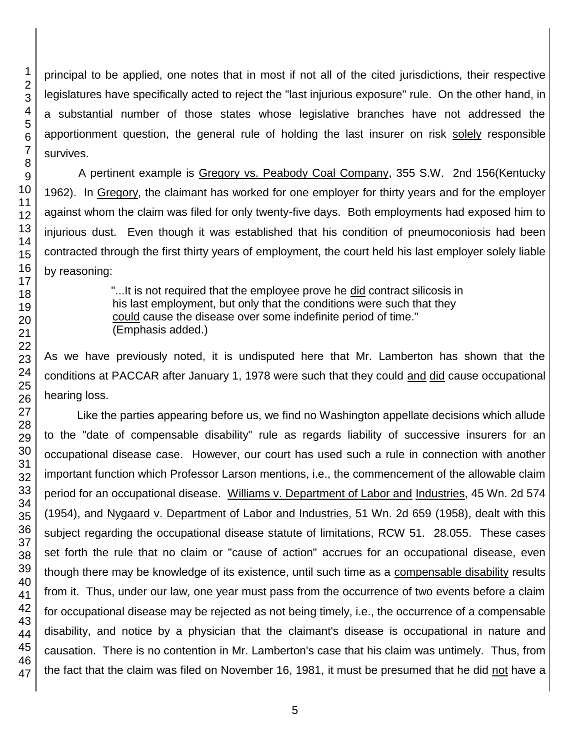principal to be applied, one notes that in most if not all of the cited jurisdictions, their respective legislatures have specifically acted to reject the "last injurious exposure" rule. On the other hand, in a substantial number of those states whose legislative branches have not addressed the apportionment question, the general rule of holding the last insurer on risk solely responsible survives.

A pertinent example is Gregory vs. Peabody Coal Company, 355 S.W. 2nd 156(Kentucky 1962). In Gregory, the claimant has worked for one employer for thirty years and for the employer against whom the claim was filed for only twenty-five days. Both employments had exposed him to injurious dust. Even though it was established that his condition of pneumoconiosis had been contracted through the first thirty years of employment, the court held his last employer solely liable by reasoning:

> "...It is not required that the employee prove he did contract silicosis in his last employment, but only that the conditions were such that they could cause the disease over some indefinite period of time." (Emphasis added.)

As we have previously noted, it is undisputed here that Mr. Lamberton has shown that the conditions at PACCAR after January 1, 1978 were such that they could and did cause occupational hearing loss.

Like the parties appearing before us, we find no Washington appellate decisions which allude to the "date of compensable disability" rule as regards liability of successive insurers for an occupational disease case. However, our court has used such a rule in connection with another important function which Professor Larson mentions, i.e., the commencement of the allowable claim period for an occupational disease. Williams v. Department of Labor and Industries, 45 Wn. 2d 574 (1954), and Nygaard v. Department of Labor and Industries, 51 Wn. 2d 659 (1958), dealt with this subject regarding the occupational disease statute of limitations, RCW 51. 28.055. These cases set forth the rule that no claim or "cause of action" accrues for an occupational disease, even though there may be knowledge of its existence, until such time as a compensable disability results from it. Thus, under our law, one year must pass from the occurrence of two events before a claim for occupational disease may be rejected as not being timely, i.e., the occurrence of a compensable disability, and notice by a physician that the claimant's disease is occupational in nature and causation. There is no contention in Mr. Lamberton's case that his claim was untimely. Thus, from the fact that the claim was filed on November 16, 1981, it must be presumed that he did not have a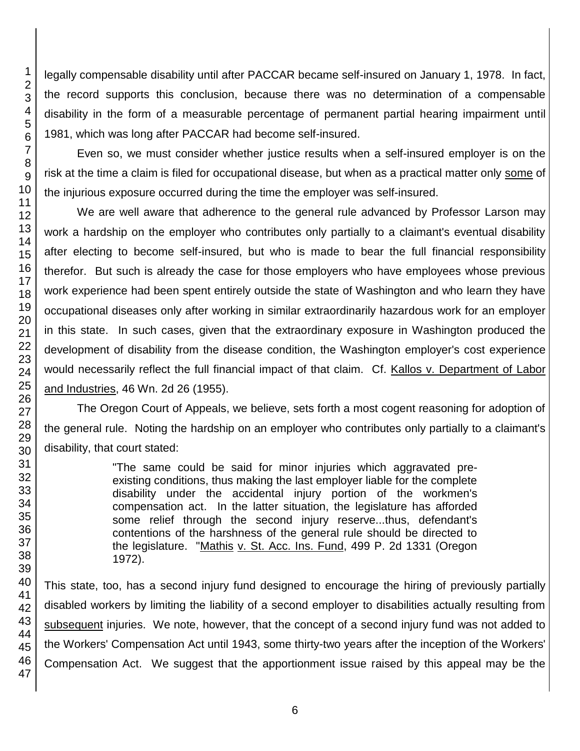legally compensable disability until after PACCAR became self-insured on January 1, 1978. In fact, the record supports this conclusion, because there was no determination of a compensable disability in the form of a measurable percentage of permanent partial hearing impairment until 1981, which was long after PACCAR had become self-insured.

Even so, we must consider whether justice results when a self-insured employer is on the risk at the time a claim is filed for occupational disease, but when as a practical matter only some of the injurious exposure occurred during the time the employer was self-insured.

We are well aware that adherence to the general rule advanced by Professor Larson may work a hardship on the employer who contributes only partially to a claimant's eventual disability after electing to become self-insured, but who is made to bear the full financial responsibility therefor. But such is already the case for those employers who have employees whose previous work experience had been spent entirely outside the state of Washington and who learn they have occupational diseases only after working in similar extraordinarily hazardous work for an employer in this state. In such cases, given that the extraordinary exposure in Washington produced the development of disability from the disease condition, the Washington employer's cost experience would necessarily reflect the full financial impact of that claim. Cf. Kallos v. Department of Labor and Industries, 46 Wn. 2d 26 (1955).

The Oregon Court of Appeals, we believe, sets forth a most cogent reasoning for adoption of the general rule. Noting the hardship on an employer who contributes only partially to a claimant's disability, that court stated:

> "The same could be said for minor injuries which aggravated preexisting conditions, thus making the last employer liable for the complete disability under the accidental injury portion of the workmen's compensation act. In the latter situation, the legislature has afforded some relief through the second injury reserve...thus, defendant's contentions of the harshness of the general rule should be directed to the legislature. "Mathis v. St. Acc. Ins. Fund, 499 P. 2d 1331 (Oregon 1972).

This state, too, has a second injury fund designed to encourage the hiring of previously partially disabled workers by limiting the liability of a second employer to disabilities actually resulting from subsequent injuries. We note, however, that the concept of a second injury fund was not added to the Workers' Compensation Act until 1943, some thirty-two years after the inception of the Workers' Compensation Act. We suggest that the apportionment issue raised by this appeal may be the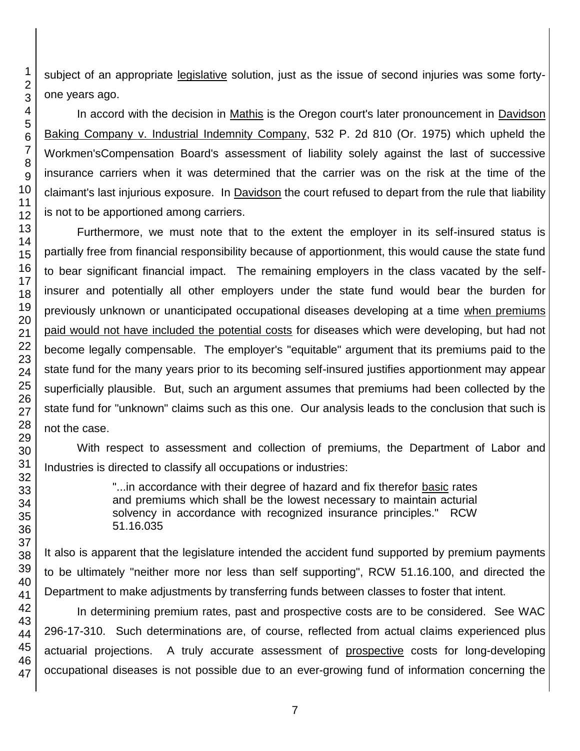subject of an appropriate legislative solution, just as the issue of second injuries was some fortyone years ago.

In accord with the decision in Mathis is the Oregon court's later pronouncement in Davidson Baking Company v. Industrial Indemnity Company, 532 P. 2d 810 (Or. 1975) which upheld the Workmen'sCompensation Board's assessment of liability solely against the last of successive insurance carriers when it was determined that the carrier was on the risk at the time of the claimant's last injurious exposure. In Davidson the court refused to depart from the rule that liability is not to be apportioned among carriers.

Furthermore, we must note that to the extent the employer in its self-insured status is partially free from financial responsibility because of apportionment, this would cause the state fund to bear significant financial impact. The remaining employers in the class vacated by the selfinsurer and potentially all other employers under the state fund would bear the burden for previously unknown or unanticipated occupational diseases developing at a time when premiums paid would not have included the potential costs for diseases which were developing, but had not become legally compensable. The employer's "equitable" argument that its premiums paid to the state fund for the many years prior to its becoming self-insured justifies apportionment may appear superficially plausible. But, such an argument assumes that premiums had been collected by the state fund for "unknown" claims such as this one. Our analysis leads to the conclusion that such is not the case.

With respect to assessment and collection of premiums, the Department of Labor and Industries is directed to classify all occupations or industries:

> "...in accordance with their degree of hazard and fix therefor basic rates and premiums which shall be the lowest necessary to maintain acturial solvency in accordance with recognized insurance principles." RCW 51.16.035

It also is apparent that the legislature intended the accident fund supported by premium payments to be ultimately "neither more nor less than self supporting", RCW 51.16.100, and directed the Department to make adjustments by transferring funds between classes to foster that intent.

In determining premium rates, past and prospective costs are to be considered. See WAC 296-17-310. Such determinations are, of course, reflected from actual claims experienced plus actuarial projections. A truly accurate assessment of prospective costs for long-developing occupational diseases is not possible due to an ever-growing fund of information concerning the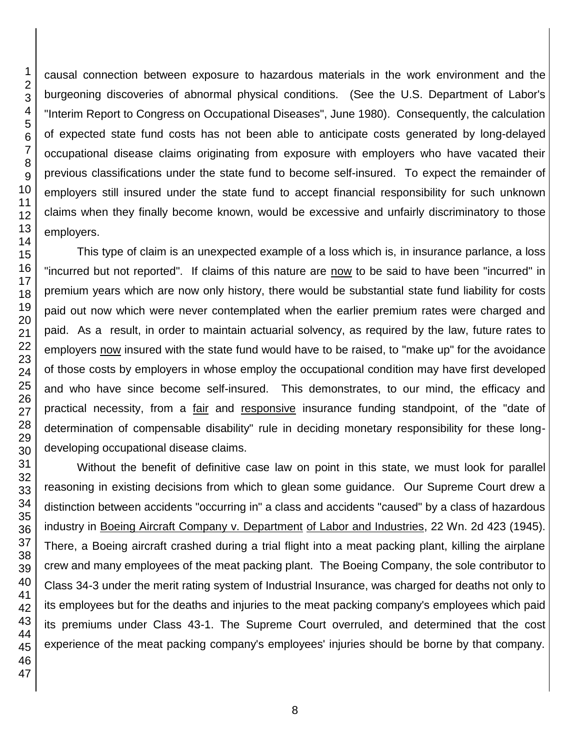causal connection between exposure to hazardous materials in the work environment and the burgeoning discoveries of abnormal physical conditions. (See the U.S. Department of Labor's "Interim Report to Congress on Occupational Diseases", June 1980). Consequently, the calculation of expected state fund costs has not been able to anticipate costs generated by long-delayed occupational disease claims originating from exposure with employers who have vacated their previous classifications under the state fund to become self-insured. To expect the remainder of employers still insured under the state fund to accept financial responsibility for such unknown claims when they finally become known, would be excessive and unfairly discriminatory to those employers. This type of claim is an unexpected example of a loss which is, in insurance parlance, a loss

"incurred but not reported". If claims of this nature are now to be said to have been "incurred" in premium years which are now only history, there would be substantial state fund liability for costs paid out now which were never contemplated when the earlier premium rates were charged and paid. As a result, in order to maintain actuarial solvency, as required by the law, future rates to employers now insured with the state fund would have to be raised, to "make up" for the avoidance of those costs by employers in whose employ the occupational condition may have first developed and who have since become self-insured. This demonstrates, to our mind, the efficacy and practical necessity, from a fair and responsive insurance funding standpoint, of the "date of determination of compensable disability" rule in deciding monetary responsibility for these longdeveloping occupational disease claims.

Without the benefit of definitive case law on point in this state, we must look for parallel reasoning in existing decisions from which to glean some guidance. Our Supreme Court drew a distinction between accidents "occurring in" a class and accidents "caused" by a class of hazardous industry in Boeing Aircraft Company v. Department of Labor and Industries, 22 Wn. 2d 423 (1945). There, a Boeing aircraft crashed during a trial flight into a meat packing plant, killing the airplane crew and many employees of the meat packing plant. The Boeing Company, the sole contributor to Class 34-3 under the merit rating system of Industrial Insurance, was charged for deaths not only to its employees but for the deaths and injuries to the meat packing company's employees which paid its premiums under Class 43-1. The Supreme Court overruled, and determined that the cost experience of the meat packing company's employees' injuries should be borne by that company.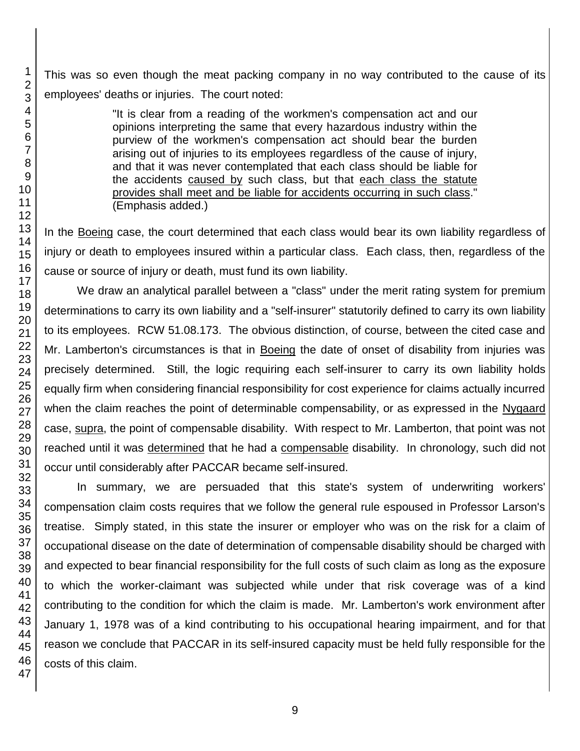This was so even though the meat packing company in no way contributed to the cause of its employees' deaths or injuries. The court noted:

> "It is clear from a reading of the workmen's compensation act and our opinions interpreting the same that every hazardous industry within the purview of the workmen's compensation act should bear the burden arising out of injuries to its employees regardless of the cause of injury, and that it was never contemplated that each class should be liable for the accidents caused by such class, but that each class the statute provides shall meet and be liable for accidents occurring in such class." (Emphasis added.)

In the Boeing case, the court determined that each class would bear its own liability regardless of injury or death to employees insured within a particular class. Each class, then, regardless of the cause or source of injury or death, must fund its own liability.

We draw an analytical parallel between a "class" under the merit rating system for premium determinations to carry its own liability and a "self-insurer" statutorily defined to carry its own liability to its employees. RCW 51.08.173. The obvious distinction, of course, between the cited case and Mr. Lamberton's circumstances is that in Boeing the date of onset of disability from injuries was precisely determined. Still, the logic requiring each self-insurer to carry its own liability holds equally firm when considering financial responsibility for cost experience for claims actually incurred when the claim reaches the point of determinable compensability, or as expressed in the Nygaard case, supra, the point of compensable disability. With respect to Mr. Lamberton, that point was not reached until it was determined that he had a compensable disability. In chronology, such did not occur until considerably after PACCAR became self-insured.

In summary, we are persuaded that this state's system of underwriting workers' compensation claim costs requires that we follow the general rule espoused in Professor Larson's treatise. Simply stated, in this state the insurer or employer who was on the risk for a claim of occupational disease on the date of determination of compensable disability should be charged with and expected to bear financial responsibility for the full costs of such claim as long as the exposure to which the worker-claimant was subjected while under that risk coverage was of a kind contributing to the condition for which the claim is made. Mr. Lamberton's work environment after January 1, 1978 was of a kind contributing to his occupational hearing impairment, and for that reason we conclude that PACCAR in its self-insured capacity must be held fully responsible for the costs of this claim.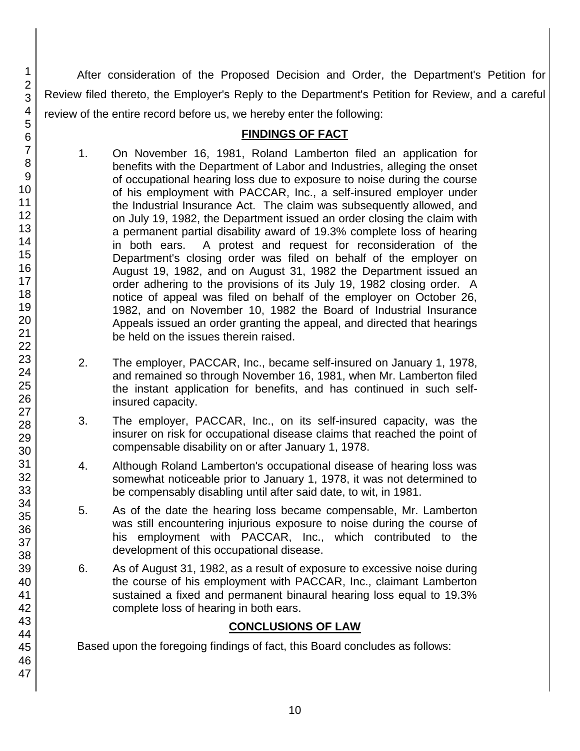After consideration of the Proposed Decision and Order, the Department's Petition for Review filed thereto, the Employer's Reply to the Department's Petition for Review, and a careful review of the entire record before us, we hereby enter the following:

#### **FINDINGS OF FACT**

- 1. On November 16, 1981, Roland Lamberton filed an application for benefits with the Department of Labor and Industries, alleging the onset of occupational hearing loss due to exposure to noise during the course of his employment with PACCAR, Inc., a self-insured employer under the Industrial Insurance Act. The claim was subsequently allowed, and on July 19, 1982, the Department issued an order closing the claim with a permanent partial disability award of 19.3% complete loss of hearing in both ears. A protest and request for reconsideration of the Department's closing order was filed on behalf of the employer on August 19, 1982, and on August 31, 1982 the Department issued an order adhering to the provisions of its July 19, 1982 closing order. A notice of appeal was filed on behalf of the employer on October 26, 1982, and on November 10, 1982 the Board of Industrial Insurance Appeals issued an order granting the appeal, and directed that hearings be held on the issues therein raised.
- 2. The employer, PACCAR, Inc., became self-insured on January 1, 1978, and remained so through November 16, 1981, when Mr. Lamberton filed the instant application for benefits, and has continued in such selfinsured capacity.
- 3. The employer, PACCAR, Inc., on its self-insured capacity, was the insurer on risk for occupational disease claims that reached the point of compensable disability on or after January 1, 1978.
- 4. Although Roland Lamberton's occupational disease of hearing loss was somewhat noticeable prior to January 1, 1978, it was not determined to be compensably disabling until after said date, to wit, in 1981.
- 5. As of the date the hearing loss became compensable, Mr. Lamberton was still encountering injurious exposure to noise during the course of his employment with PACCAR, Inc., which contributed to the development of this occupational disease.
- 6. As of August 31, 1982, as a result of exposure to excessive noise during the course of his employment with PACCAR, Inc., claimant Lamberton sustained a fixed and permanent binaural hearing loss equal to 19.3% complete loss of hearing in both ears.

# **CONCLUSIONS OF LAW**

Based upon the foregoing findings of fact, this Board concludes as follows: